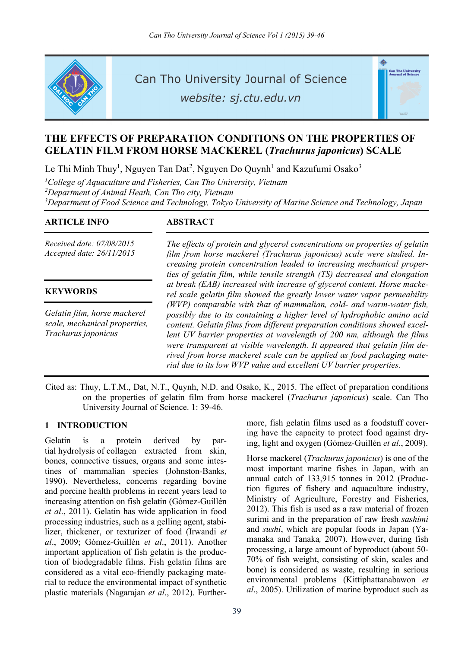

Can Tho University Journal of Science

website: sj.ctu.edu.vn



# **THE EFFECTS OF PREPARATION CONDITIONS ON THE PROPERTIES OF GELATIN FILM FROM HORSE MACKEREL (***Trachurus japonicus***) SCALE**

Le Thi Minh Thuy<sup>1</sup>, Nguyen Tan Dat<sup>2</sup>, Nguyen Do Quynh<sup>1</sup> and Kazufumi Osako<sup>3</sup>

<sup>1</sup>College of Aquaculture and Fisheries, Can Tho University, Vietnam *2 Department of Animal Heath, Can Tho city, Vietnam 3 Department of Food Science and Technology, Tokyo University of Marine Science and Technology, Japan* 

## **ARTICLE INFO ABSTRACT**

*Received date: 07/08/2015 Accepted date: 26/11/2015*

## **KEYWORDS**

*Gelatin film, horse mackerel scale, mechanical properties, Trachurus japonicus*

*The effects of protein and glycerol concentrations on properties of gelatin film from horse mackerel (Trachurus japonicus) scale were studied. Increasing protein concentration leaded to increasing mechanical properties of gelatin film, while tensile strength (TS) decreased and elongation at break (EAB) increased with increase of glycerol content. Horse mackerel scale gelatin film showed the greatly lower water vapor permeability (WVP) comparable with that of mammalian, cold- and warm-water fish, possibly due to its containing a higher level of hydrophobic amino acid content. Gelatin films from different preparation conditions showed excellent UV barrier properties at wavelength of 200 nm, although the films were transparent at visible wavelength. It appeared that gelatin film derived from horse mackerel scale can be applied as food packaging material due to its low WVP value and excellent UV barrier properties.* 

Cited as: Thuy, L.T.M., Dat, N.T., Quynh, N.D. and Osako, K., 2015. The effect of preparation conditions on the properties of gelatin film from horse mackerel (*Trachurus japonicus*) scale. Can Tho University Journal of Science. 1: 39-46.

## **1 INTRODUCTION**

Gelatin is a protein derived by partial hydrolysis of collagen extracted from skin, bones, connective tissues, organs and some intestines of mammalian species (Johnston-Banks, 1990). Nevertheless, concerns regarding bovine and porcine health problems in recent years lead to increasing attention on fish gelatin (Gómez-Guillén *et al*., 2011). Gelatin has wide application in food processing industries, such as a gelling agent, stabilizer, thickener, or texturizer of food (Irwandi *et al*., 2009; Gómez-Guillén *et al*., 2011). Another important application of fish gelatin is the production of biodegradable films. Fish gelatin films are considered as a vital eco-friendly packaging material to reduce the environmental impact of synthetic plastic materials (Nagarajan *et al*., 2012). Furthermore, fish gelatin films used as a foodstuff covering have the capacity to protect food against drying, light and oxygen (Gómez-Guillén *et al*., 2009).

Horse mackerel (*Trachurus japonicus*) is one of the most important marine fishes in Japan, with an annual catch of 133,915 tonnes in 2012 (Production figures of fishery and aquaculture industry, Ministry of Agriculture, Forestry and Fisheries, 2012). This fish is used as a raw material of frozen surimi and in the preparation of raw fresh *sashimi* and *sushi*, which are popular foods in Japan (Yamanaka and Tanaka*,* 2007). However, during fish processing, a large amount of byproduct (about 50- 70% of fish weight, consisting of skin, scales and bone) is considered as waste, resulting in serious environmental problems (Kittiphattanabawon *et al*., 2005). Utilization of marine byproduct such as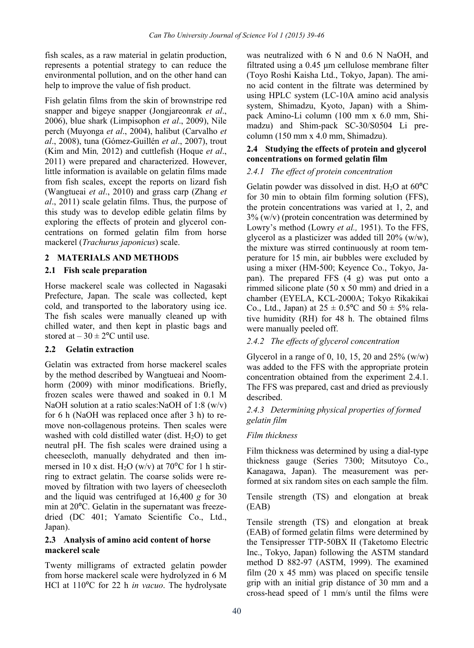fish scales, as a raw material in gelatin production, represents a potential strategy to can reduce the environmental pollution, and on the other hand can help to improve the value of fish product.

Fish gelatin films from the skin of brownstripe red snapper and bigeye snapper (Jongjareonrak *et al*., 2006), blue shark (Limpisophon *et al*., 2009), Nile perch (Muyonga *et al*., 2004), halibut (Carvalho *et al*., 2008), tuna (Gómez-Guillén *et al*., 2007), trout (Kim and Min*,* 2012) and cuttlefish (Hoque *et al*., 2011) were prepared and characterized. However, little information is available on gelatin films made from fish scales, except the reports on lizard fish (Wangtueai *et al*., 2010) and grass carp (Zhang *et al*., 2011) scale gelatin films. Thus, the purpose of this study was to develop edible gelatin films by exploring the effects of protein and glycerol concentrations on formed gelatin film from horse mackerel (*Trachurus japonicus*) scale.

## **2 MATERIALS AND METHODS**

## **2.1 Fish scale preparation**

Horse mackerel scale was collected in Nagasaki Prefecture, Japan. The scale was collected, kept cold, and transported to the laboratory using ice. The fish scales were manually cleaned up with chilled water, and then kept in plastic bags and stored at  $-30 \pm 2$ <sup>o</sup>C until use.

## **2.2 Gelatin extraction**

Gelatin was extracted from horse mackerel scales by the method described by Wangtueai and Noomhorm (2009) with minor modifications. Briefly, frozen scales were thawed and soaked in 0.1 M NaOH solution at a ratio scales:NaOH of 1:8 (w/v) for 6 h (NaOH was replaced once after 3 h) to remove non-collagenous proteins. Then scales were washed with cold distilled water (dist.  $H_2O$ ) to get neutral pH. The fish scales were drained using a cheesecloth, manually dehydrated and then immersed in 10 x dist. H<sub>2</sub>O (w/v) at 70<sup>o</sup>C for 1 h stirring to extract gelatin. The coarse solids were removed by filtration with two layers of cheesecloth and the liquid was centrifuged at 16,400 *g* for 30 min at 20ºC. Gelatin in the supernatant was freezedried (DC 401; Yamato Scientific Co., Ltd., Japan).

#### **2.3 Analysis of amino acid content of horse mackerel scale**

Twenty milligrams of extracted gelatin powder from horse mackerel scale were hydrolyzed in 6 M HCl at 110ºC for 22 h *in vacuo*. The hydrolysate was neutralized with 6 N and 0.6 N NaOH, and filtrated using a 0.45 μm cellulose membrane filter (Toyo Roshi Kaisha Ltd., Tokyo, Japan). The amino acid content in the filtrate was determined by using HPLC system (LC-10A amino acid analysis system, Shimadzu, Kyoto, Japan) with a Shimpack Amino-Li column (100 mm x 6.0 mm, Shimadzu) and Shim-pack SC-30/S0504 Li precolumn (150 mm x 4.0 mm, Shimadzu).

## **2.4 Studying the effects of protein and glycerol concentrations on formed gelatin film**

## *2.4.1 The effect of protein concentration*

Gelatin powder was dissolved in dist.  $H_2O$  at 60 $^{\circ}$ C for 30 min to obtain film forming solution (FFS), the protein concentrations was varied at 1, 2, and 3% (w/v) (protein concentration was determined by Lowry's method (Lowry *et al.,* 1951). To the FFS, glycerol as a plasticizer was added till 20% (w/w), the mixture was stirred continuously at room temperature for 15 min, air bubbles were excluded by using a mixer (HM-500; Keyence Co., Tokyo, Japan). The prepared FFS (4 g) was put onto a rimmed silicone plate (50 x 50 mm) and dried in a chamber (EYELA, KCL-2000A; Tokyo Rikakikai Co., Ltd., Japan) at  $25 \pm 0.5^{\circ}$ C and  $50 \pm 5\%$  relative humidity (RH) for 48 h. The obtained films were manually peeled off.

## *2.4.2 The effects of glycerol concentration*

Glycerol in a range of 0, 10, 15, 20 and  $25\%$  (w/w) was added to the FFS with the appropriate protein concentration obtained from the experiment 2.4.1. The FFS was prepared, cast and dried as previously described.

## *2.4.3 Determining physical properties of formed gelatin film*

## *Film thickness*

Film thickness was determined by using a dial-type thickness gauge (Series 7300; Mitsutoyo Co., Kanagawa, Japan). The measurement was performed at six random sites on each sample the film.

Tensile strength (TS) and elongation at break (EAB)

Tensile strength (TS) and elongation at break (EAB) of formed gelatin films were determined by the Tensipresser TTP-50BX II (Taketomo Electric Inc., Tokyo, Japan) following the ASTM standard method D 882-97 (ASTM, 1999). The examined film (20 x 45 mm) was placed on specific tensile grip with an initial grip distance of 30 mm and a cross-head speed of 1 mm/s until the films were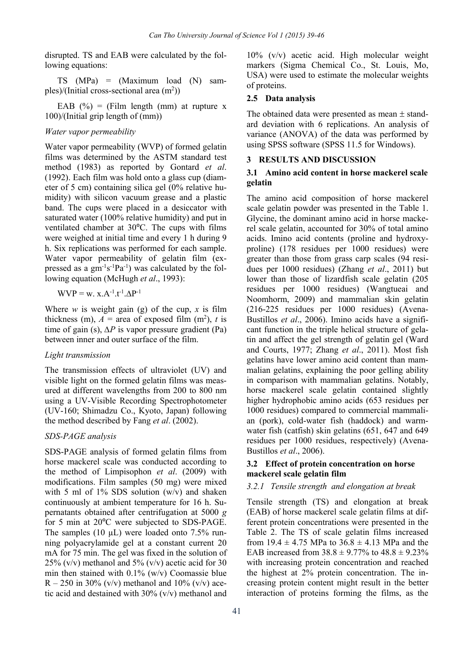disrupted. TS and EAB were calculated by the following equations:

TS (MPa) = (Maximum load (N) samples)/(Initial cross-sectional area  $(m<sup>2</sup>)$ )

EAB  $(\%)$  = (Film length (mm) at rupture x 100)/(Initial grip length of (mm))

#### *Water vapor permeability*

Water vapor permeability (WVP) of formed gelatin films was determined by the ASTM standard test method (1983) as reported by Gontard *et al*. (1992). Each film was hold onto a glass cup (diameter of 5 cm) containing silica gel (0% relative humidity) with silicon vacuum grease and a plastic band. The cups were placed in a desiccator with saturated water (100% relative humidity) and put in ventilated chamber at 30ºC. The cups with films were weighed at initial time and every 1 h during 9 h. Six replications was performed for each sample. Water vapor permeability of gelatin film (expressed as a  $gm^{-1}s^{-1}Pa^{-1}$ ) was calculated by the following equation (McHugh *et al*., 1993):

$$
WVP = w. x.A^{-1}.t^{-1}.\Delta P^{-1}
$$

Where *w* is weight gain (g) of the cup,  $x$  is film thickness (m),  $A =$  area of exposed film (m<sup>2</sup>), t is time of gain (s), *∆P* is vapor pressure gradient (Pa) between inner and outer surface of the film.

#### *Light transmission*

The transmission effects of ultraviolet (UV) and visible light on the formed gelatin films was measured at different wavelengths from 200 to 800 nm using a UV-Visible Recording Spectrophotometer (UV-160; Shimadzu Co., Kyoto, Japan) following the method described by Fang *et al*. (2002).

#### *SDS-PAGE analysis*

SDS-PAGE analysis of formed gelatin films from horse mackerel scale was conducted according to the method of Limpisophon *et al*. (2009) with modifications. Film samples (50 mg) were mixed with 5 ml of 1% SDS solution (w/v) and shaken continuously at ambient temperature for 16 h. Supernatants obtained after centrifugation at 5000 *g* for 5 min at 20ºC were subjected to SDS-PAGE. The samples (10  $\mu$ L) were loaded onto 7.5% running polyacrylamide gel at a constant current 20 mA for 75 min. The gel was fixed in the solution of 25% (v/v) methanol and 5% (v/v) acetic acid for 30 min then stained with 0.1% (w/v) Coomassie blue  $R - 250$  in 30% (v/v) methanol and 10% (v/v) acetic acid and destained with 30% (v/v) methanol and

10% (v/v) acetic acid. High molecular weight markers (Sigma Chemical Co., St. Louis, Mo, USA) were used to estimate the molecular weights of proteins.

#### **2.5 Data analysis**

The obtained data were presented as mean  $\pm$  standard deviation with 6 replications. An analysis of variance (ANOVA) of the data was performed by using SPSS software (SPSS 11.5 for Windows).

#### **3 RESULTS AND DISCUSSION**

## **3.1 Amino acid content in horse mackerel scale gelatin**

The amino acid composition of horse mackerel scale gelatin powder was presented in the Table 1. Glycine, the dominant amino acid in horse mackerel scale gelatin, accounted for 30% of total amino acids. Imino acid contents (proline and hydroxyproline) (178 residues per 1000 residues) were greater than those from grass carp scales (94 residues per 1000 residues) (Zhang *et al*., 2011) but lower than those of lizardfish scale gelatin (205 residues per 1000 residues) (Wangtueai and Noomhorm, 2009) and mammalian skin gelatin (216-225 residues per 1000 residues) (Avena-Bustillos *et al*., 2006). Imino acids have a significant function in the triple helical structure of gelatin and affect the gel strength of gelatin gel (Ward and Courts, 1977; Zhang *et al*., 2011). Most fish gelatins have lower amino acid content than mammalian gelatins, explaining the poor gelling ability in comparison with mammalian gelatins. Notably, horse mackerel scale gelatin contained slightly higher hydrophobic amino acids (653 residues per 1000 residues) compared to commercial mammalian (pork), cold-water fish (haddock) and warmwater fish (catfish) skin gelatins (651, 647 and 649 residues per 1000 residues, respectively) (Avena-Bustillos *et al*., 2006).

## **3.2 Effect of protein concentration on horse mackerel scale gelatin film**

#### *3.2.1 Tensile strength and elongation at break*

Tensile strength (TS) and elongation at break (EAB) of horse mackerel scale gelatin films at different protein concentrations were presented in the Table 2. The TS of scale gelatin films increased from  $19.4 \pm 4.75$  MPa to  $36.8 \pm 4.13$  MPa and the EAB increased from  $38.8 \pm 9.77\%$  to  $48.8 \pm 9.23\%$ with increasing protein concentration and reached the highest at 2% protein concentration. The increasing protein content might result in the better interaction of proteins forming the films, as the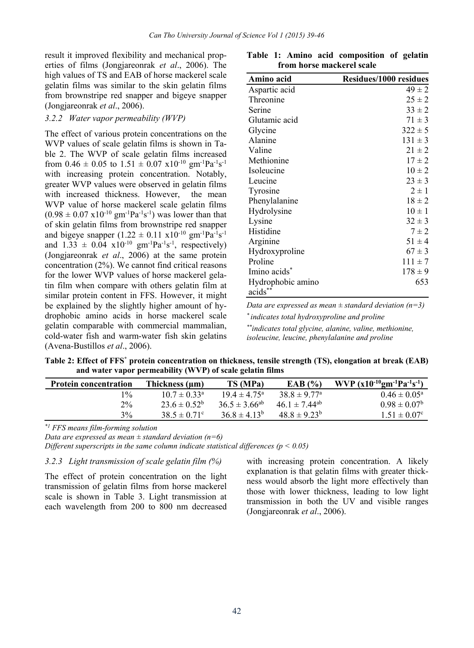result it improved flexibility and mechanical properties of films (Jongjareonrak *et al*., 2006). The high values of TS and EAB of horse mackerel scale gelatin films was similar to the skin gelatin films from brownstripe red snapper and bigeye snapper (Jongjareonrak *et al*., 2006).

#### *3.2.2 Water vapor permeability (WVP)*

The effect of various protein concentrations on the WVP values of scale gelatin films is shown in Table 2. The WVP of scale gelatin films increased from 0.46  $\pm$  0.05 to 1.51  $\pm$  0.07 x10<sup>-10</sup> gm<sup>-1</sup>Pa<sup>-1</sup>s<sup>-1</sup> with increasing protein concentration. Notably, greater WVP values were observed in gelatin films with increased thickness. However, the mean WVP value of horse mackerel scale gelatin films  $(0.98 \pm 0.07 \text{ x}10^{-10} \text{ gm}^{-1} \text{Pa}^{-1} \text{s}^{-1})$  was lower than that of skin gelatin films from brownstripe red snapper and bigeye snapper  $(1.22 \pm 0.11 \text{ x}10^{-10} \text{ gm}^{-1}\text{Pa}^{-1}\text{s}^{-1})$ and  $1.33 \pm 0.04 \times 10^{-10} \text{ gm}^{-1} \text{Pa}^{-1} \text{s}^{-1}$ , respectively) (Jongjareonrak *et al*., 2006) at the same protein concentration (2%). We cannot find critical reasons for the lower WVP values of horse mackerel gelatin film when compare with others gelatin film at similar protein content in FFS. However, it might be explained by the slightly higher amount of hydrophobic amino acids in horse mackerel scale gelatin comparable with commercial mammalian, cold-water fish and warm-water fish skin gelatins (Avena-Bustillos *et al*., 2006).

| Amino acid               | <b>Residues/1000 residues</b> |
|--------------------------|-------------------------------|
| Aspartic acid            | $49 \pm 2$                    |
| Threonine                | $25 \pm 2$                    |
| Serine                   | $33 \pm 2$                    |
| Glutamic acid            | $71 \pm 3$                    |
| Glycine                  | $322 \pm 5$                   |
| Alanine                  | $131 \pm 3$                   |
| Valine                   | $21 \pm 2$                    |
| Methionine               | $17 \pm 2$                    |
| Isoleucine               | $10 \pm 2$                    |
| Leucine                  | $23 \pm 3$                    |
| Tyrosine                 | $2 \pm 1$                     |
| Phenylalanine            | $18 \pm 2$                    |
| Hydrolysine              | $10 \pm 1$                    |
| Lysine                   | $32 \pm 3$                    |
| Histidine                | $7 \pm 2$                     |
| Arginine                 | $51 \pm 4$                    |
| Hydroxyproline           | $67 \pm 3$                    |
| Proline                  | $111 \pm 7$                   |
| Imino acids <sup>*</sup> | $178 \pm 9$                   |
| Hydrophobic amino        | 653                           |
| acids <sup>*</sup>       |                               |

**Table 1: Amino acid composition of gelatin from horse mackerel scale** 

*Data are expressed as mean ± standard deviation (n=3)* 

*\* indicates total hydroxyproline and proline* 

*\*\*indicates total glycine, alanine, valine, methionine, isoleucine, leucine, phenylalanine and proline* 

Table 2: Effect of FFS<sup>\*</sup> protein concentration on thickness, tensile strength (TS), elongation at break (EAB) **and water vapor permeability (WVP) of scale gelatin films** 

| <b>Protein concentration</b> | Thickness (µm)               | TS (MPa)                | EAB $(%)$                     | WVP $(x10^{-10}gm^{-1}Pa^{-1}s^{-1})$ |
|------------------------------|------------------------------|-------------------------|-------------------------------|---------------------------------------|
| $1\%$                        | $10.7 \pm 0.33$ <sup>a</sup> | $19.4 \pm 4.75^{\circ}$ | $38.8 \pm 9.77$ <sup>a</sup>  | $0.46 \pm 0.05^{\circ}$               |
| $2\%$                        | $23.6 \pm 0.52^b$            | $36.5 \pm 3.66^{ab}$    | $46.1 \pm 7.44$ <sup>ab</sup> | $0.98 \pm 0.07^{\circ}$               |
| 3%                           | $38.5 \pm 0.71$ °            | $36.8 \pm 4.13^b$       | $48.8 \pm 9.23^b$             | $1.51 \pm 0.07$ °                     |

*\*1 FFS means film-forming solution* 

*Data are expressed as mean ± standard deviation (n=6)* 

*Different superscripts in the same column indicate statistical differences (p < 0.05)* 

*3.2.3 Light transmission of scale gelatin film (%)* 

The effect of protein concentration on the light transmission of gelatin films from horse mackerel scale is shown in Table 3. Light transmission at each wavelength from 200 to 800 nm decreased

with increasing protein concentration. A likely explanation is that gelatin films with greater thickness would absorb the light more effectively than those with lower thickness, leading to low light transmission in both the UV and visible ranges (Jongjareonrak *et al*., 2006).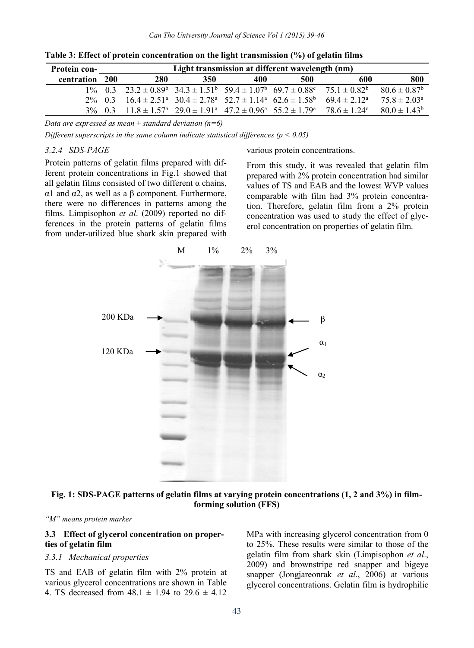| <b>Protein con-</b> | Light transmission at different wavelength (nm) |                                                                                                               |     |     |                                                                                                                                        |                                                                                                                                   |                         |
|---------------------|-------------------------------------------------|---------------------------------------------------------------------------------------------------------------|-----|-----|----------------------------------------------------------------------------------------------------------------------------------------|-----------------------------------------------------------------------------------------------------------------------------------|-------------------------|
| centration          | - 200                                           | 280                                                                                                           | 350 | 400 | 500                                                                                                                                    | 600                                                                                                                               | 800                     |
|                     |                                                 |                                                                                                               |     |     |                                                                                                                                        | $1\%$ 0.3 $23.2 \pm 0.89^{\circ}$ $34.3 \pm 1.51^{\circ}$ $59.4 \pm 1.07^{\circ}$ $69.7 \pm 0.88^{\circ}$ $75.1 \pm 0.82^{\circ}$ | $80.6 \pm 0.87^{\rm b}$ |
|                     |                                                 | $2\%$ 0.3 16.4 ± 2.51 <sup>a</sup> 30.4 ± 2.78 <sup>a</sup> 52.7 ± 1.14 <sup>a</sup> 62.6 ± 1.58 <sup>b</sup> |     |     |                                                                                                                                        | $69.4 \pm 2.12^a$                                                                                                                 | $75.8 + 2.03a$          |
|                     |                                                 |                                                                                                               |     |     | $3\%$ 0.3 11.8 ± 1.57 <sup>a</sup> 29.0 ± 1.91 <sup>a</sup> 47.2 ± 0.96 <sup>a</sup> 55.2 ± 1.79 <sup>a</sup> 78.6 ± 1.24 <sup>c</sup> |                                                                                                                                   | $80.0 \pm 1.43^b$       |

**Table 3: Effect of protein concentration on the light transmission (%) of gelatin films** 

*Data are expressed as mean ± standard deviation (n=6)* 

*Different superscripts in the same column indicate statistical differences (p < 0.05)*

## *3.2.4 SDS-PAGE*

Protein patterns of gelatin films prepared with different protein concentrations in Fig.1 showed that all gelatin films consisted of two different  $\alpha$  chains, α1 and α2, as well as a β component. Furthermore, there were no differences in patterns among the films. Limpisophon *et al*. (2009) reported no differences in the protein patterns of gelatin films from under-utilized blue shark skin prepared with

various protein concentrations.

From this study, it was revealed that gelatin film prepared with 2% protein concentration had similar values of TS and EAB and the lowest WVP values comparable with film had 3% protein concentration. Therefore, gelatin film from a 2% protein concentration was used to study the effect of glycerol concentration on properties of gelatin film.



**Fig. 1: SDS-PAGE patterns of gelatin films at varying protein concentrations (1, 2 and 3%) in filmforming solution (FFS)** 

*"M" means protein marker* 

### **3.3 Effect of glycerol concentration on properties of gelatin film**

#### *3.3.1 Mechanical properties*

TS and EAB of gelatin film with 2% protein at various glycerol concentrations are shown in Table 4. TS decreased from  $48.1 \pm 1.94$  to  $29.6 \pm 4.12$ 

MPa with increasing glycerol concentration from 0 to 25%. These results were similar to those of the gelatin film from shark skin (Limpisophon *et al*., 2009) and brownstripe red snapper and bigeye snapper (Jongjareonrak *et al*., 2006) at various glycerol concentrations. Gelatin film is hydrophilic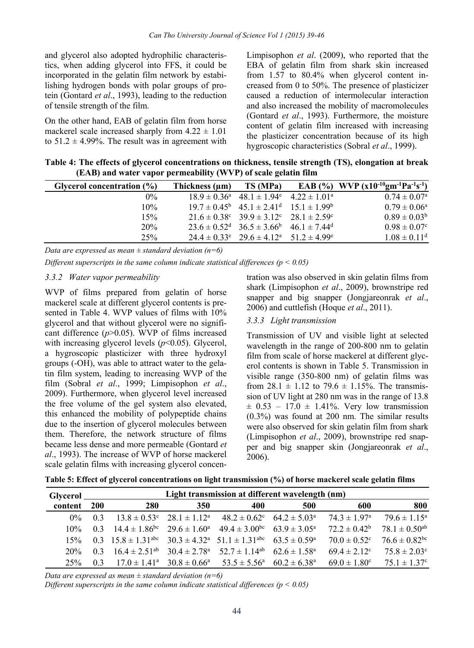and glycerol also adopted hydrophilic characteristics, when adding glycerol into FFS, it could be incorporated in the gelatin film network by estabilishing hydrogen bonds with polar groups of protein (Gontard *et al*., 1993), leading to the reduction of tensile strength of the film.

On the other hand, EAB of gelatin film from horse mackerel scale increased sharply from  $4.22 \pm 1.01$ to  $51.2 \pm 4.99\%$ . The result was in agreement with Limpisophon *et al*. (2009), who reported that the EBA of gelatin film from shark skin increased from 1.57 to 80.4% when glycerol content increased from 0 to 50%. The presence of plasticizer caused a reduction of intermolecular interaction and also increased the mobility of macromolecules (Gontard *et al*., 1993). Furthermore, the moisture content of gelatin film increased with increasing the plasticizer concentration because of its high hygroscopic characteristics (Sobral *et al*., 1999).

**Table 4: The effects of glycerol concentrations on thickness, tensile strength (TS), elongation at break (EAB) and water vapor permeability (WVP) of scale gelatin film** 

| Glycerol concentration (%) | Thickness (um) | TS (MPa)                                                                         | EAB (%) WVP $(x10^{-10}gm^{-1}Pa^{-1}s^{-1})$ |
|----------------------------|----------------|----------------------------------------------------------------------------------|-----------------------------------------------|
| $0\%$                      |                | $18.9 \pm 0.36^{\circ}$ 48.1 $\pm 1.94^{\circ}$ 4.22 $\pm 1.01^{\circ}$          | $0.74 \pm 0.07^{\circ}$                       |
| 10%                        |                | $19.7 \pm 0.45^{\circ}$ $45.1 \pm 2.41^{\circ}$ $15.1 \pm 1.99^{\circ}$          | $0.79 \pm 0.06^{\circ}$                       |
| 15%                        |                | $21.6 \pm 0.38^{\circ}$ $39.9 \pm 3.12^{\circ}$ $28.1 \pm 2.59^{\circ}$          | $0.89 \pm 0.03^b$                             |
| 20%                        |                | $23.6 \pm 0.52^{\text{d}}$ $36.5 \pm 3.66^{\text{b}}$ $46.1 \pm 7.44^{\text{d}}$ | $0.98 \pm 0.07$ °                             |
| 25%                        |                | $24.4 \pm 0.33^{\circ}$ $29.6 \pm 4.12^{\circ}$ $51.2 \pm 4.99^{\circ}$          | $1.08 \pm 0.11$ <sup>d</sup>                  |

*Data are expressed as mean ± standard deviation (n=6)* 

*Different superscripts in the same column indicate statistical differences (p < 0.05)* 

#### *3.3.2 Water vapor permeability*

WVP of films prepared from gelatin of horse mackerel scale at different glycerol contents is presented in Table 4. WVP values of films with 10% glycerol and that without glycerol were no significant difference (*p*>0.05). WVP of films increased with increasing glycerol levels ( $p$ <0.05). Glycerol, a hygroscopic plasticizer with three hydroxyl groups (-OH), was able to attract water to the gelatin film system, leading to increasing WVP of the film (Sobral *et al*., 1999; Limpisophon *et al*., 2009). Furthermore, when glycerol level increased the free volume of the gel system also elevated, this enhanced the mobility of polypeptide chains due to the insertion of glycerol molecules between them. Therefore, the network structure of films became less dense and more permeable (Gontard *et al*., 1993). The increase of WVP of horse mackerel scale gelatin films with increasing glycerol concentration was also observed in skin gelatin films from shark (Limpisophon *et al*., 2009), brownstripe red snapper and big snapper (Jongjareonrak *et al*., 2006) and cuttlefish (Hoque *et al*., 2011).

#### *3.3.3 Light transmission*

Transmission of UV and visible light at selected wavelength in the range of 200-800 nm to gelatin film from scale of horse mackerel at different glycerol contents is shown in Table 5. Transmission in visible range (350-800 nm) of gelatin films was from  $28.1 \pm 1.12$  to  $79.6 \pm 1.15$ %. The transmission of UV light at 280 nm was in the range of 13.8  $\pm$  0.53 – 17.0  $\pm$  1.41%. Very low transmission (0.3%) was found at 200 nm. The similar results were also observed for skin gelatin film from shark (Limpisophon *et al*., 2009), brownstripe red snapper and big snapper skin (Jongjareonrak *et al*., 2006).

|  | Table 5: Effect of glycerol concentrations on light transmission (%) of horse mackerel scale gelatin films |  |  |  |  |
|--|------------------------------------------------------------------------------------------------------------|--|--|--|--|
|  |                                                                                                            |  |  |  |  |

|         | Light transmission at different wavelength (nm)<br><b>Glycerol</b> |     |            |                                                                                                                     |     |                         |                               |  |
|---------|--------------------------------------------------------------------|-----|------------|---------------------------------------------------------------------------------------------------------------------|-----|-------------------------|-------------------------------|--|
| content | 200                                                                | 280 | <b>350</b> | 400                                                                                                                 | 500 | 600                     | 800                           |  |
| $0\%$   | 0.3                                                                |     |            | $13.8 \pm 0.53^{\circ}$ $28.1 \pm 1.12^{\circ}$ $48.2 \pm 0.62^{\circ}$ $64.2 \pm 5.03^{\circ}$                     |     | $74.3 \pm 1.97^{\rm a}$ | $79.6 \pm 1.15^{\circ}$       |  |
| $10\%$  |                                                                    |     |            | 0.3 $14.4 \pm 1.86^{\text{bc}}$ $29.6 \pm 1.60^{\text{a}}$ $49.4 \pm 3.00^{\text{bc}}$ $63.9 \pm 3.05^{\text{a}}$   |     | $72.2 \pm 0.42^b$       | $78.1 \pm 0.50$ <sup>ab</sup> |  |
| 15%     |                                                                    |     |            | 0.3 $15.8 \pm 1.31^{\text{abc}}$ $30.3 \pm 4.32^{\text{a}}$ $51.1 \pm 1.31^{\text{abc}}$ $63.5 \pm 0.59^{\text{a}}$ |     | $70.0 \pm 0.52$ °       | $76.6 \pm 0.82^{\rm bc}$      |  |
| 20%     |                                                                    |     |            | 0.3 $16.4 \pm 2.51^{ab}$ $30.4 \pm 2.78^a$ $52.7 \pm 1.14^{ab}$ $62.6 \pm 1.58^a$                                   |     | $69.4 \pm 2.12$ °       | $75.8 \pm 2.03$ <sup>c</sup>  |  |
| 25%     | 0.3                                                                |     |            | $17.0 \pm 1.41^{\circ}$ $30.8 \pm 0.66^{\circ}$ $53.5 \pm 5.56^{\circ}$ $60.2 \pm 6.38^{\circ}$                     |     | $69.0 \pm 1.80^{\circ}$ | $75.1 \pm 1.37^{\circ}$       |  |

*Data are expressed as mean ± standard deviation (n=6)* 

*Different superscripts in the same column indicate statistical differences (p < 0.05)*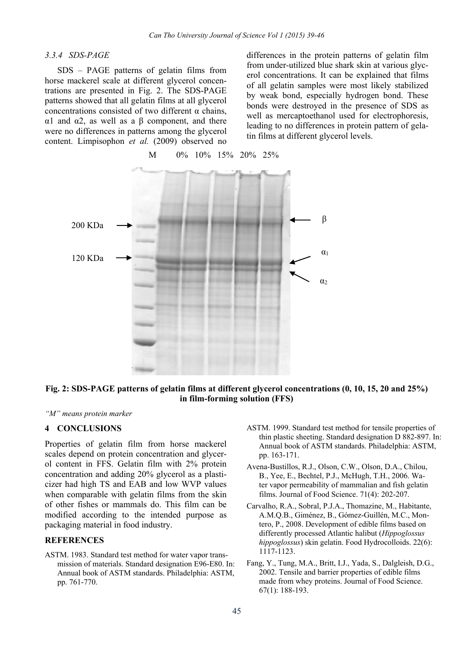## *3.3.4 SDS-PAGE*

 SDS – PAGE patterns of gelatin films from horse mackerel scale at different glycerol concentrations are presented in Fig. 2. The SDS-PAGE patterns showed that all gelatin films at all glycerol concentrations consisted of two different  $\alpha$  chains, α1 and α2, as well as a β component, and there were no differences in patterns among the glycerol content. Limpisophon *et al.* (2009) observed no differences in the protein patterns of gelatin film from under-utilized blue shark skin at various glycerol concentrations. It can be explained that films of all gelatin samples were most likely stabilized by weak bond, especially hydrogen bond. These bonds were destroyed in the presence of SDS as well as mercaptoethanol used for electrophoresis, leading to no differences in protein pattern of gelatin films at different glycerol levels.



## **Fig. 2: SDS-PAGE patterns of gelatin films at different glycerol concentrations (0, 10, 15, 20 and 25%) in film-forming solution (FFS)**

*"M" means protein marker* 

#### **4 CONCLUSIONS**

Properties of gelatin film from horse mackerel scales depend on protein concentration and glycerol content in FFS. Gelatin film with 2% protein concentration and adding 20% glycerol as a plasticizer had high TS and EAB and low WVP values when comparable with gelatin films from the skin of other fishes or mammals do. This film can be modified according to the intended purpose as packaging material in food industry.

#### **REFERENCES**

ASTM. 1983. Standard test method for water vapor transmission of materials. Standard designation E96-E80. In: Annual book of ASTM standards. Philadelphia: ASTM, pp. 761-770.

- ASTM. 1999. Standard test method for tensile properties of thin plastic sheeting. Standard designation D 882-897. In: Annual book of ASTM standards. Philadelphia: ASTM, pp. 163-171.
- Avena-Bustillos, R.J., Olson, C.W., Olson, D.A., Chilou, B., Yee, E., Bechtel, P.J., McHugh, T.H., 2006. Water vapor permeability of mammalian and fish gelatin films. Journal of Food Science. 71(4): 202-207.
- Carvalho, R.A., Sobral, P.J.A., Thomazine, M., Habitante, A.M.Q.B., Giménez, B., Gómez-Guillén, M.C., Montero, P., 2008. Development of edible films based on differently processed Atlantic halibut (*Hippoglossus hippoglossus*) skin gelatin. Food Hydrocolloids. 22(6): 1117-1123.
- Fang, Y., Tung, M.A., Britt, I.J., Yada, S., Dalgleish, D.G., 2002. Tensile and barrier properties of edible films made from whey proteins. Journal of Food Science. 67(1): 188-193.